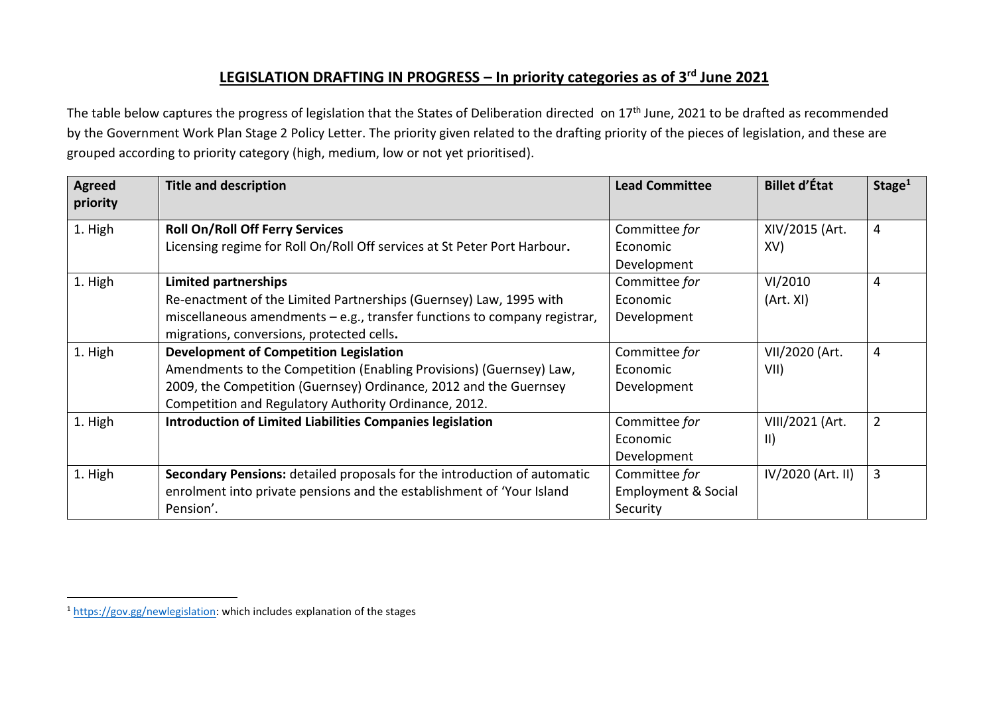## **LEGISLATION DRAFTING IN PROGRESS – In priority categories as of 3 rd June 2021**

The table below captures the progress of legislation that the States of Deliberation directed on 17<sup>th</sup> June, 2021 to be drafted as recommended by the Government Work Plan Stage 2 Policy Letter. The priority given related to the drafting priority of the pieces of legislation, and these are grouped according to priority category (high, medium, low or not yet prioritised).

| <b>Agreed</b><br>priority | <b>Title and description</b>                                                                                                                                                                                                                       | <b>Lead Committee</b>                                       | <b>Billet d'État</b>           | Stage <sup>1</sup> |
|---------------------------|----------------------------------------------------------------------------------------------------------------------------------------------------------------------------------------------------------------------------------------------------|-------------------------------------------------------------|--------------------------------|--------------------|
| 1. High                   | <b>Roll On/Roll Off Ferry Services</b><br>Licensing regime for Roll On/Roll Off services at St Peter Port Harbour.                                                                                                                                 | Committee for<br>Economic<br>Development                    | XIV/2015 (Art.<br>XV)          | $\overline{4}$     |
| 1. High                   | <b>Limited partnerships</b><br>Re-enactment of the Limited Partnerships (Guernsey) Law, 1995 with<br>miscellaneous amendments $-e.g.,$ transfer functions to company registrar,<br>migrations, conversions, protected cells.                       | Committee for<br>Economic<br>Development                    | VI/2010<br>(Art. XI)           | 4                  |
| 1. High                   | <b>Development of Competition Legislation</b><br>Amendments to the Competition (Enabling Provisions) (Guernsey) Law,<br>2009, the Competition (Guernsey) Ordinance, 2012 and the Guernsey<br>Competition and Regulatory Authority Ordinance, 2012. | Committee for<br>Economic<br>Development                    | VII/2020 (Art.<br>VII)         | $\overline{4}$     |
| 1. High                   | Introduction of Limited Liabilities Companies legislation                                                                                                                                                                                          | Committee for<br>Economic<br>Development                    | VIII/2021 (Art.<br>$\parallel$ | $\overline{2}$     |
| 1. High                   | Secondary Pensions: detailed proposals for the introduction of automatic<br>enrolment into private pensions and the establishment of 'Your Island<br>Pension'.                                                                                     | Committee for<br><b>Employment &amp; Social</b><br>Security | IV/2020 (Art. II)              | 3                  |

<sup>&</sup>lt;sup>1</sup> [https://gov.gg/newlegislation:](https://gov.gg/newlegislation) which includes explanation of the stages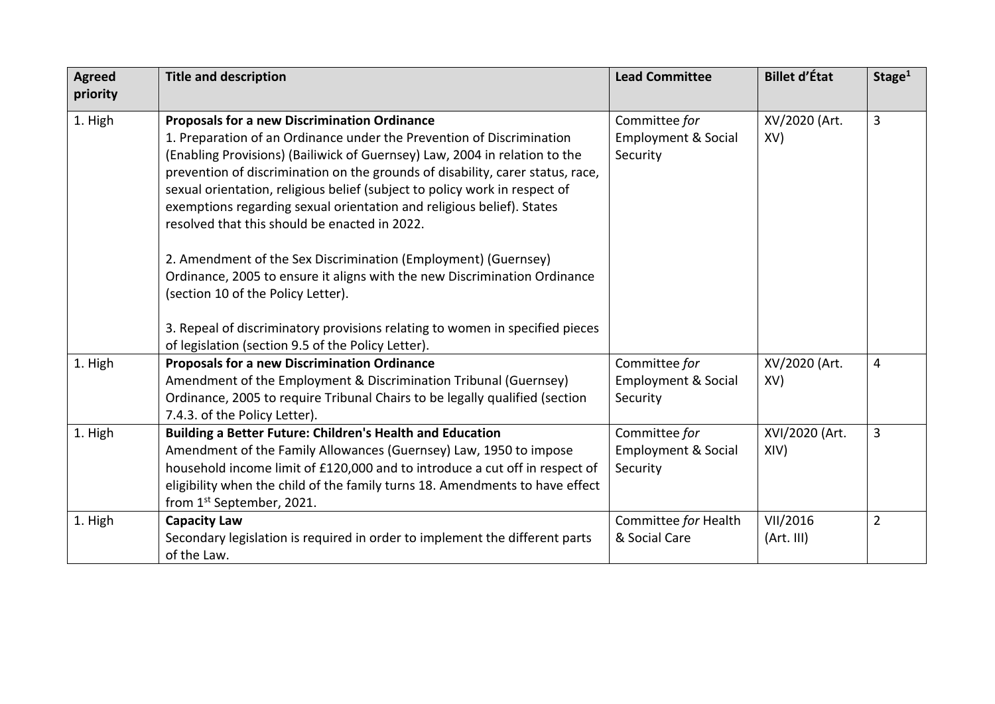| <b>Agreed</b><br>priority | <b>Title and description</b>                                                                                                                                                                                                                                                                                                                                                                                                                                                                                                                                                                                                                                                              | <b>Lead Committee</b>                                       | <b>Billet d'État</b>   | Stage <sup>1</sup>      |
|---------------------------|-------------------------------------------------------------------------------------------------------------------------------------------------------------------------------------------------------------------------------------------------------------------------------------------------------------------------------------------------------------------------------------------------------------------------------------------------------------------------------------------------------------------------------------------------------------------------------------------------------------------------------------------------------------------------------------------|-------------------------------------------------------------|------------------------|-------------------------|
| 1. High                   | <b>Proposals for a new Discrimination Ordinance</b><br>1. Preparation of an Ordinance under the Prevention of Discrimination<br>(Enabling Provisions) (Bailiwick of Guernsey) Law, 2004 in relation to the<br>prevention of discrimination on the grounds of disability, carer status, race,<br>sexual orientation, religious belief (subject to policy work in respect of<br>exemptions regarding sexual orientation and religious belief). States<br>resolved that this should be enacted in 2022.<br>2. Amendment of the Sex Discrimination (Employment) (Guernsey)<br>Ordinance, 2005 to ensure it aligns with the new Discrimination Ordinance<br>(section 10 of the Policy Letter). | Committee for<br><b>Employment &amp; Social</b><br>Security | XV/2020 (Art.<br>XV)   | 3                       |
|                           | 3. Repeal of discriminatory provisions relating to women in specified pieces<br>of legislation (section 9.5 of the Policy Letter).                                                                                                                                                                                                                                                                                                                                                                                                                                                                                                                                                        |                                                             |                        |                         |
| 1. High                   | <b>Proposals for a new Discrimination Ordinance</b><br>Amendment of the Employment & Discrimination Tribunal (Guernsey)<br>Ordinance, 2005 to require Tribunal Chairs to be legally qualified (section<br>7.4.3. of the Policy Letter).                                                                                                                                                                                                                                                                                                                                                                                                                                                   | Committee for<br><b>Employment &amp; Social</b><br>Security | XV/2020 (Art.<br>XV)   | $\overline{\mathbf{4}}$ |
| 1. High                   | <b>Building a Better Future: Children's Health and Education</b><br>Amendment of the Family Allowances (Guernsey) Law, 1950 to impose<br>household income limit of £120,000 and to introduce a cut off in respect of<br>eligibility when the child of the family turns 18. Amendments to have effect<br>from 1st September, 2021.                                                                                                                                                                                                                                                                                                                                                         | Committee for<br>Employment & Social<br>Security            | XVI/2020 (Art.<br>XIV) | 3                       |
| 1. High                   | <b>Capacity Law</b><br>Secondary legislation is required in order to implement the different parts<br>of the Law.                                                                                                                                                                                                                                                                                                                                                                                                                                                                                                                                                                         | Committee for Health<br>& Social Care                       | VII/2016<br>(Art. III) | $\overline{2}$          |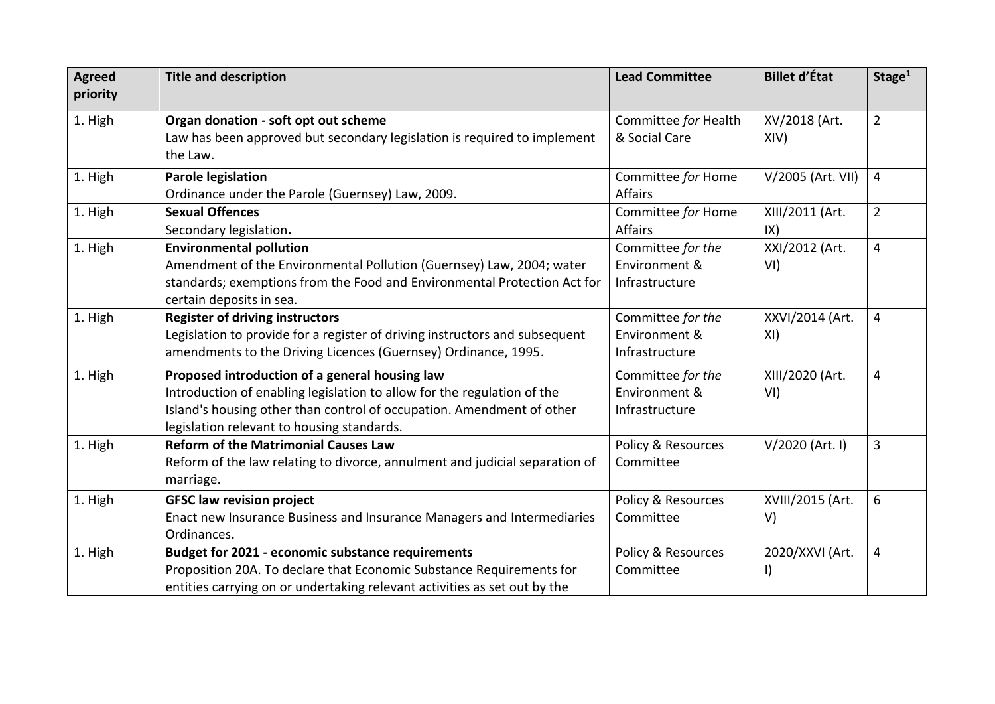| <b>Agreed</b> | <b>Title and description</b>                                                | <b>Lead Committee</b> | <b>Billet d'État</b> | Stage <sup>1</sup> |
|---------------|-----------------------------------------------------------------------------|-----------------------|----------------------|--------------------|
| priority      |                                                                             |                       |                      |                    |
| 1. High       | Organ donation - soft opt out scheme                                        | Committee for Health  | XV/2018 (Art.        | $\overline{2}$     |
|               | Law has been approved but secondary legislation is required to implement    | & Social Care         | XIV)                 |                    |
|               | the Law.                                                                    |                       |                      |                    |
| 1. High       | <b>Parole legislation</b>                                                   | Committee for Home    | V/2005 (Art. VII)    | $\overline{4}$     |
|               | Ordinance under the Parole (Guernsey) Law, 2009.                            | <b>Affairs</b>        |                      |                    |
| 1. High       | <b>Sexual Offences</b>                                                      | Committee for Home    | XIII/2011 (Art.      | $\overline{2}$     |
|               | Secondary legislation.                                                      | <b>Affairs</b>        | IX)                  |                    |
| 1. High       | <b>Environmental pollution</b>                                              | Committee for the     | XXI/2012 (Art.       | $\overline{4}$     |
|               | Amendment of the Environmental Pollution (Guernsey) Law, 2004; water        | Environment &         | VI)                  |                    |
|               | standards; exemptions from the Food and Environmental Protection Act for    | Infrastructure        |                      |                    |
|               | certain deposits in sea.                                                    |                       |                      |                    |
| 1. High       | <b>Register of driving instructors</b>                                      | Committee for the     | XXVI/2014 (Art.      | $\overline{4}$     |
|               | Legislation to provide for a register of driving instructors and subsequent | Environment &         | XI)                  |                    |
|               | amendments to the Driving Licences (Guernsey) Ordinance, 1995.              | Infrastructure        |                      |                    |
| 1. High       | Proposed introduction of a general housing law                              | Committee for the     | XIII/2020 (Art.      | 4                  |
|               | Introduction of enabling legislation to allow for the regulation of the     | Environment &         | VI)                  |                    |
|               | Island's housing other than control of occupation. Amendment of other       | Infrastructure        |                      |                    |
|               | legislation relevant to housing standards.                                  |                       |                      |                    |
| 1. High       | <b>Reform of the Matrimonial Causes Law</b>                                 | Policy & Resources    | V/2020 (Art. I)      | 3                  |
|               | Reform of the law relating to divorce, annulment and judicial separation of | Committee             |                      |                    |
|               | marriage.                                                                   |                       |                      |                    |
| 1. High       | <b>GFSC law revision project</b>                                            | Policy & Resources    | XVIII/2015 (Art.     | 6                  |
|               | Enact new Insurance Business and Insurance Managers and Intermediaries      | Committee             | V)                   |                    |
|               | Ordinances.                                                                 |                       |                      |                    |
| 1. High       | Budget for 2021 - economic substance requirements                           | Policy & Resources    | 2020/XXVI (Art.      | 4                  |
|               | Proposition 20A. To declare that Economic Substance Requirements for        | Committee             | I)                   |                    |
|               | entities carrying on or undertaking relevant activities as set out by the   |                       |                      |                    |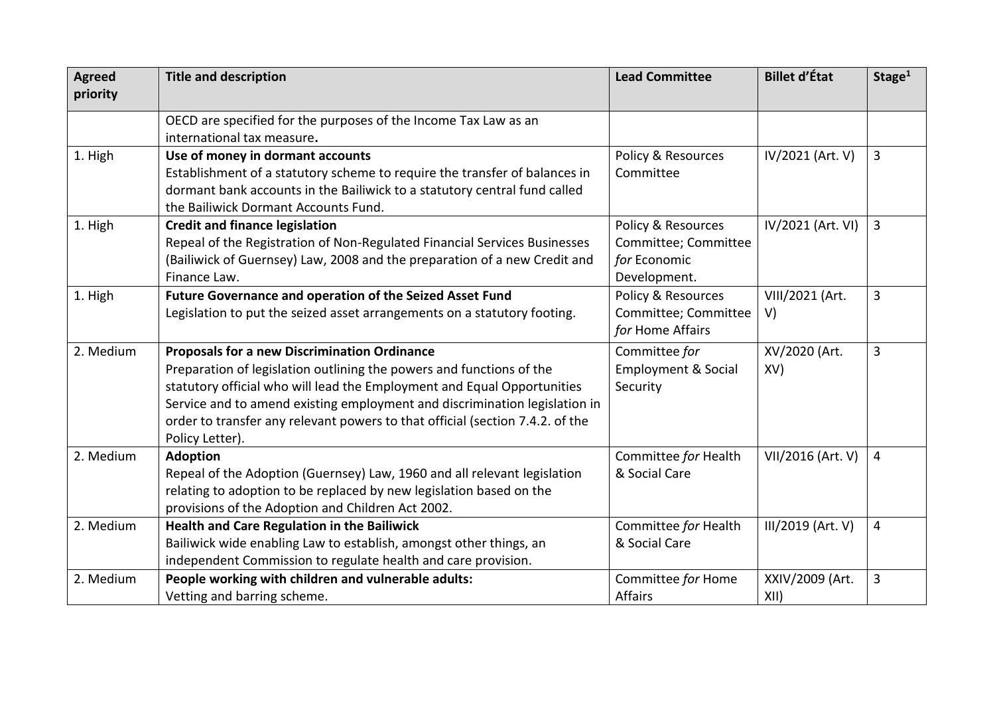| <b>Agreed</b><br>priority | <b>Title and description</b>                                                                                                                                                                                                                                                                                                                                                             | <b>Lead Committee</b>                                                      | <b>Billet d'État</b>    | Stage <sup>1</sup> |
|---------------------------|------------------------------------------------------------------------------------------------------------------------------------------------------------------------------------------------------------------------------------------------------------------------------------------------------------------------------------------------------------------------------------------|----------------------------------------------------------------------------|-------------------------|--------------------|
|                           | OECD are specified for the purposes of the Income Tax Law as an<br>international tax measure.                                                                                                                                                                                                                                                                                            |                                                                            |                         |                    |
| 1. High                   | Use of money in dormant accounts<br>Establishment of a statutory scheme to require the transfer of balances in<br>dormant bank accounts in the Bailiwick to a statutory central fund called<br>the Bailiwick Dormant Accounts Fund.                                                                                                                                                      | Policy & Resources<br>Committee                                            | IV/2021 (Art. V)        | 3                  |
| 1. High                   | <b>Credit and finance legislation</b><br>Repeal of the Registration of Non-Regulated Financial Services Businesses<br>(Bailiwick of Guernsey) Law, 2008 and the preparation of a new Credit and<br>Finance Law.                                                                                                                                                                          | Policy & Resources<br>Committee; Committee<br>for Economic<br>Development. | IV/2021 (Art. VI)       | 3                  |
| 1. High                   | Future Governance and operation of the Seized Asset Fund<br>Legislation to put the seized asset arrangements on a statutory footing.                                                                                                                                                                                                                                                     | Policy & Resources<br>Committee; Committee<br>for Home Affairs             | VIII/2021 (Art.<br>V)   | 3                  |
| 2. Medium                 | <b>Proposals for a new Discrimination Ordinance</b><br>Preparation of legislation outlining the powers and functions of the<br>statutory official who will lead the Employment and Equal Opportunities<br>Service and to amend existing employment and discrimination legislation in<br>order to transfer any relevant powers to that official (section 7.4.2. of the<br>Policy Letter). | Committee for<br><b>Employment &amp; Social</b><br>Security                | XV/2020 (Art.<br>XV)    | 3                  |
| 2. Medium                 | <b>Adoption</b><br>Repeal of the Adoption (Guernsey) Law, 1960 and all relevant legislation<br>relating to adoption to be replaced by new legislation based on the<br>provisions of the Adoption and Children Act 2002.                                                                                                                                                                  | Committee for Health<br>& Social Care                                      | VII/2016 (Art. V)       | 4                  |
| 2. Medium                 | Health and Care Regulation in the Bailiwick<br>Bailiwick wide enabling Law to establish, amongst other things, an<br>independent Commission to regulate health and care provision.                                                                                                                                                                                                       | Committee for Health<br>& Social Care                                      | III/2019 (Art. V)       | 4                  |
| 2. Medium                 | People working with children and vulnerable adults:<br>Vetting and barring scheme.                                                                                                                                                                                                                                                                                                       | Committee for Home<br>Affairs                                              | XXIV/2009 (Art.<br>XII) | 3                  |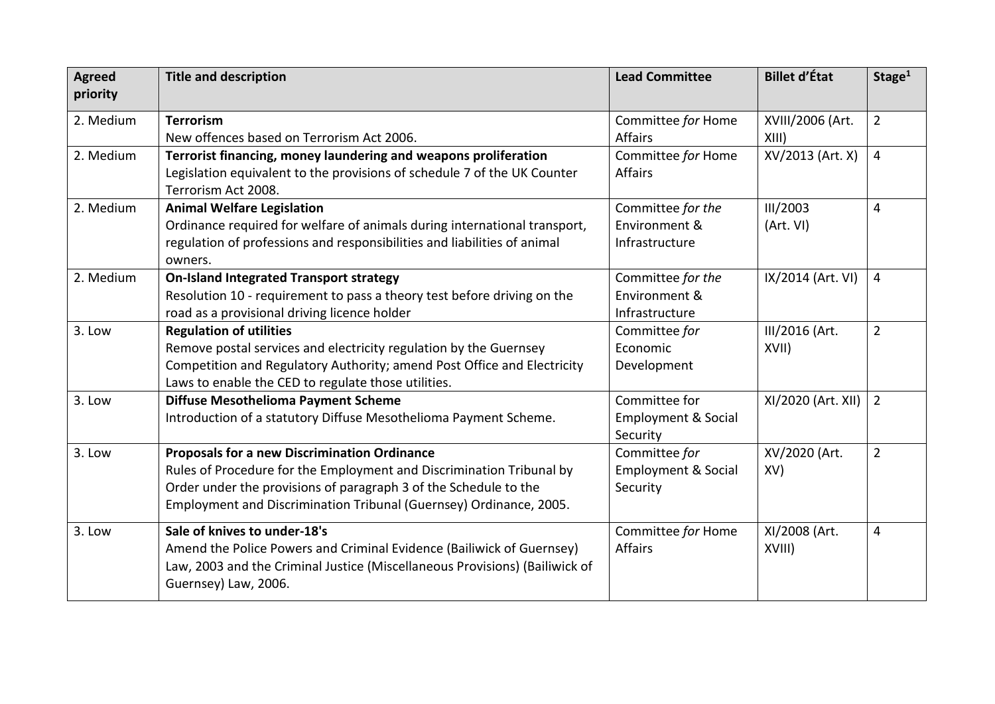| <b>Agreed</b><br>priority | <b>Title and description</b>                                                                                                                                                                                                                                          | <b>Lead Committee</b>                                       | <b>Billet d'État</b>      | Stage <sup>1</sup> |
|---------------------------|-----------------------------------------------------------------------------------------------------------------------------------------------------------------------------------------------------------------------------------------------------------------------|-------------------------------------------------------------|---------------------------|--------------------|
| 2. Medium                 | <b>Terrorism</b><br>New offences based on Terrorism Act 2006.                                                                                                                                                                                                         | Committee for Home<br><b>Affairs</b>                        | XVIII/2006 (Art.<br>XIII) | $\overline{2}$     |
| 2. Medium                 | Terrorist financing, money laundering and weapons proliferation<br>Legislation equivalent to the provisions of schedule 7 of the UK Counter<br>Terrorism Act 2008.                                                                                                    | Committee for Home<br><b>Affairs</b>                        | XV/2013 (Art. X)          | $\overline{4}$     |
| 2. Medium                 | <b>Animal Welfare Legislation</b><br>Ordinance required for welfare of animals during international transport,<br>regulation of professions and responsibilities and liabilities of animal<br>owners.                                                                 | Committee for the<br>Environment &<br>Infrastructure        | III/2003<br>(Art. VI)     | $\overline{4}$     |
| 2. Medium                 | <b>On-Island Integrated Transport strategy</b><br>Resolution 10 - requirement to pass a theory test before driving on the<br>road as a provisional driving licence holder                                                                                             | Committee for the<br>Environment &<br>Infrastructure        | IX/2014 (Art. VI)         | $\overline{4}$     |
| 3. Low                    | <b>Regulation of utilities</b><br>Remove postal services and electricity regulation by the Guernsey<br>Competition and Regulatory Authority; amend Post Office and Electricity<br>Laws to enable the CED to regulate those utilities.                                 | Committee for<br>Economic<br>Development                    | III/2016 (Art.<br>XVII)   | $\overline{2}$     |
| 3. Low                    | Diffuse Mesothelioma Payment Scheme<br>Introduction of a statutory Diffuse Mesothelioma Payment Scheme.                                                                                                                                                               | Committee for<br><b>Employment &amp; Social</b><br>Security | XI/2020 (Art. XII)        | $\overline{2}$     |
| 3. Low                    | <b>Proposals for a new Discrimination Ordinance</b><br>Rules of Procedure for the Employment and Discrimination Tribunal by<br>Order under the provisions of paragraph 3 of the Schedule to the<br>Employment and Discrimination Tribunal (Guernsey) Ordinance, 2005. | Committee for<br><b>Employment &amp; Social</b><br>Security | XV/2020 (Art.<br>XV)      | $\overline{2}$     |
| 3. Low                    | Sale of knives to under-18's<br>Amend the Police Powers and Criminal Evidence (Bailiwick of Guernsey)<br>Law, 2003 and the Criminal Justice (Miscellaneous Provisions) (Bailiwick of<br>Guernsey) Law, 2006.                                                          | Committee for Home<br>Affairs                               | XI/2008 (Art.<br>XVIII)   | $\overline{4}$     |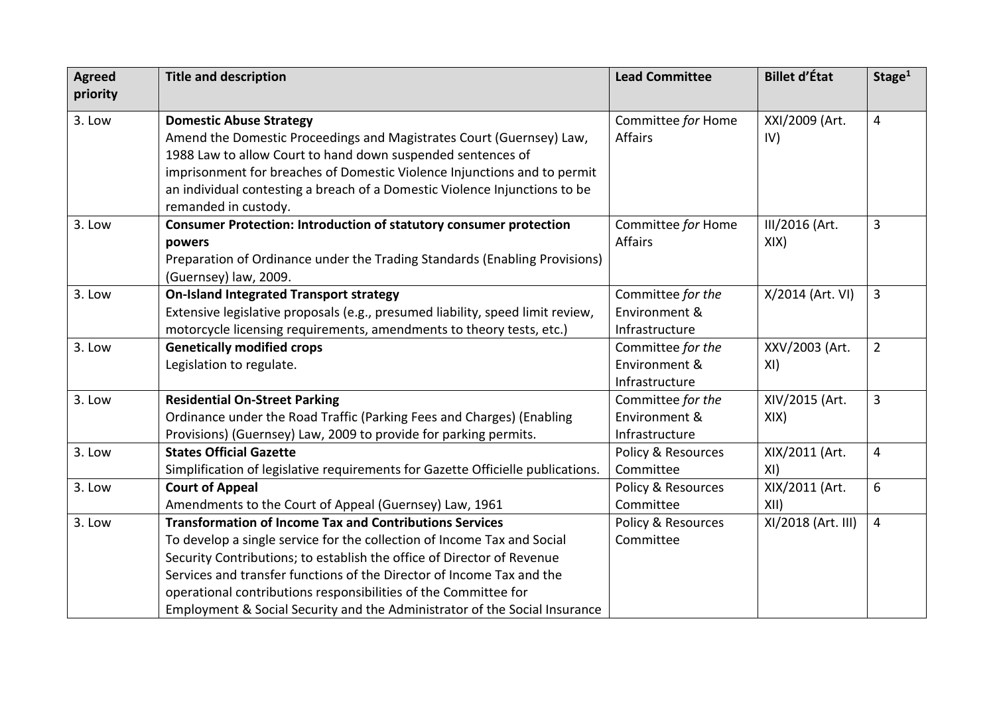| <b>Agreed</b><br>priority | <b>Title and description</b>                                                    | <b>Lead Committee</b>         | <b>Billet d'État</b> | Stage <sup>1</sup> |
|---------------------------|---------------------------------------------------------------------------------|-------------------------------|----------------------|--------------------|
|                           |                                                                                 |                               |                      |                    |
| 3. Low                    | <b>Domestic Abuse Strategy</b>                                                  | Committee for Home            | XXI/2009 (Art.       | $\overline{4}$     |
|                           | Amend the Domestic Proceedings and Magistrates Court (Guernsey) Law,            | <b>Affairs</b>                | IV)                  |                    |
|                           | 1988 Law to allow Court to hand down suspended sentences of                     |                               |                      |                    |
|                           | imprisonment for breaches of Domestic Violence Injunctions and to permit        |                               |                      |                    |
|                           | an individual contesting a breach of a Domestic Violence Injunctions to be      |                               |                      |                    |
|                           | remanded in custody.                                                            |                               |                      |                    |
| 3. Low                    | <b>Consumer Protection: Introduction of statutory consumer protection</b>       | Committee for Home            | III/2016 (Art.       | 3                  |
|                           | powers                                                                          | Affairs                       | XIX)                 |                    |
|                           | Preparation of Ordinance under the Trading Standards (Enabling Provisions)      |                               |                      |                    |
|                           | (Guernsey) law, 2009.                                                           |                               |                      |                    |
| 3. Low                    | <b>On-Island Integrated Transport strategy</b>                                  | Committee for the             | X/2014 (Art. VI)     | $\overline{3}$     |
|                           | Extensive legislative proposals (e.g., presumed liability, speed limit review,  | Environment &                 |                      |                    |
|                           | motorcycle licensing requirements, amendments to theory tests, etc.)            | Infrastructure                |                      |                    |
| 3. Low                    | <b>Genetically modified crops</b>                                               | Committee for the             | XXV/2003 (Art.       | $\overline{2}$     |
|                           | Legislation to regulate.                                                        | Environment &                 | XI)                  |                    |
|                           |                                                                                 | Infrastructure                |                      |                    |
| 3. Low                    | <b>Residential On-Street Parking</b>                                            | Committee for the             | XIV/2015 (Art.       | $\mathbf{3}$       |
|                           | Ordinance under the Road Traffic (Parking Fees and Charges) (Enabling           | Environment &                 | XIX)                 |                    |
|                           | Provisions) (Guernsey) Law, 2009 to provide for parking permits.                | Infrastructure                |                      |                    |
| 3. Low                    | <b>States Official Gazette</b>                                                  | <b>Policy &amp; Resources</b> | XIX/2011 (Art.       | $\overline{4}$     |
|                           | Simplification of legislative requirements for Gazette Officielle publications. | Committee                     | XI)                  |                    |
| 3. Low                    | <b>Court of Appeal</b>                                                          | Policy & Resources            | XIX/2011 (Art.       | 6                  |
|                           | Amendments to the Court of Appeal (Guernsey) Law, 1961                          | Committee                     | XII)                 |                    |
| 3. Low                    | <b>Transformation of Income Tax and Contributions Services</b>                  | <b>Policy &amp; Resources</b> | XI/2018 (Art. III)   | $\overline{4}$     |
|                           | To develop a single service for the collection of Income Tax and Social         | Committee                     |                      |                    |
|                           | Security Contributions; to establish the office of Director of Revenue          |                               |                      |                    |
|                           | Services and transfer functions of the Director of Income Tax and the           |                               |                      |                    |
|                           | operational contributions responsibilities of the Committee for                 |                               |                      |                    |
|                           | Employment & Social Security and the Administrator of the Social Insurance      |                               |                      |                    |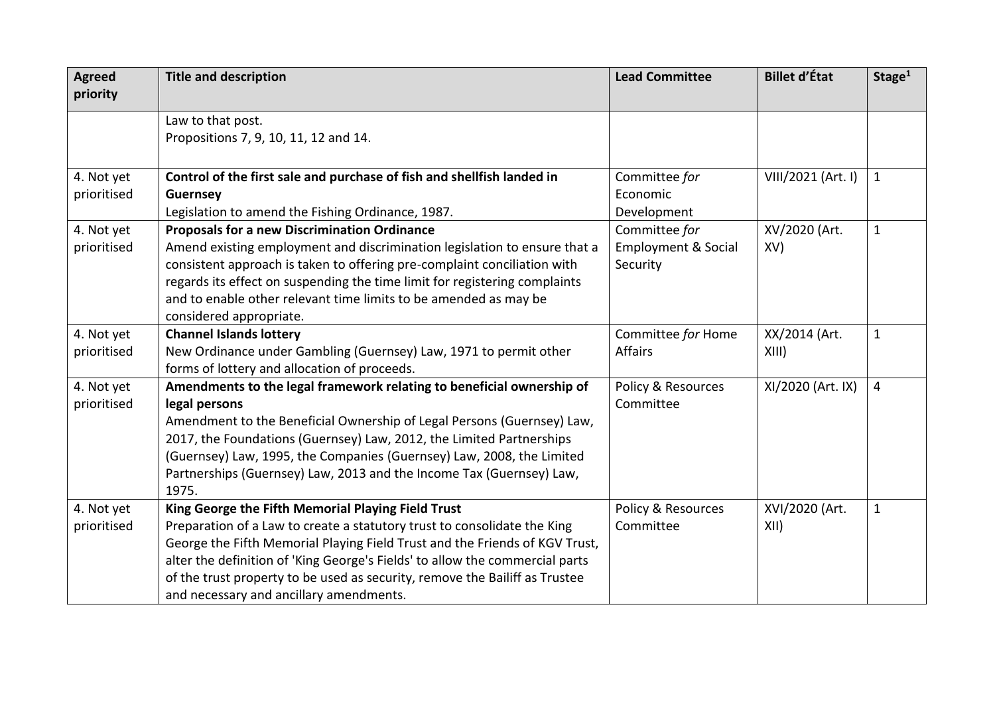| <b>Agreed</b><br>priority | <b>Title and description</b>                                                 | <b>Lead Committee</b>          | <b>Billet d'État</b> | Stage <sup>1</sup> |
|---------------------------|------------------------------------------------------------------------------|--------------------------------|----------------------|--------------------|
|                           |                                                                              |                                |                      |                    |
|                           | Law to that post.                                                            |                                |                      |                    |
|                           | Propositions 7, 9, 10, 11, 12 and 14.                                        |                                |                      |                    |
|                           |                                                                              |                                |                      |                    |
| 4. Not yet                | Control of the first sale and purchase of fish and shellfish landed in       | Committee for                  | VIII/2021 (Art. I)   | $\mathbf{1}$       |
| prioritised               | <b>Guernsey</b>                                                              | Economic                       |                      |                    |
|                           | Legislation to amend the Fishing Ordinance, 1987.                            | Development                    |                      |                    |
| 4. Not yet                | <b>Proposals for a new Discrimination Ordinance</b>                          | Committee for                  | XV/2020 (Art.        | $\mathbf 1$        |
| prioritised               | Amend existing employment and discrimination legislation to ensure that a    | <b>Employment &amp; Social</b> | XV)                  |                    |
|                           | consistent approach is taken to offering pre-complaint conciliation with     | Security                       |                      |                    |
|                           | regards its effect on suspending the time limit for registering complaints   |                                |                      |                    |
|                           | and to enable other relevant time limits to be amended as may be             |                                |                      |                    |
|                           | considered appropriate.                                                      |                                |                      |                    |
| 4. Not yet                | <b>Channel Islands lottery</b>                                               | Committee for Home             | XX/2014 (Art.        | $\mathbf{1}$       |
| prioritised               | New Ordinance under Gambling (Guernsey) Law, 1971 to permit other            | Affairs                        | XIII)                |                    |
|                           | forms of lottery and allocation of proceeds.                                 |                                |                      |                    |
| 4. Not yet                | Amendments to the legal framework relating to beneficial ownership of        | <b>Policy &amp; Resources</b>  | XI/2020 (Art. IX)    | $\overline{4}$     |
| prioritised               | legal persons                                                                | Committee                      |                      |                    |
|                           | Amendment to the Beneficial Ownership of Legal Persons (Guernsey) Law,       |                                |                      |                    |
|                           | 2017, the Foundations (Guernsey) Law, 2012, the Limited Partnerships         |                                |                      |                    |
|                           | (Guernsey) Law, 1995, the Companies (Guernsey) Law, 2008, the Limited        |                                |                      |                    |
|                           | Partnerships (Guernsey) Law, 2013 and the Income Tax (Guernsey) Law,         |                                |                      |                    |
|                           | 1975.                                                                        |                                |                      |                    |
| 4. Not yet                | King George the Fifth Memorial Playing Field Trust                           | Policy & Resources             | XVI/2020 (Art.       | $\mathbf 1$        |
| prioritised               | Preparation of a Law to create a statutory trust to consolidate the King     | Committee                      | XII)                 |                    |
|                           | George the Fifth Memorial Playing Field Trust and the Friends of KGV Trust,  |                                |                      |                    |
|                           | alter the definition of 'King George's Fields' to allow the commercial parts |                                |                      |                    |
|                           | of the trust property to be used as security, remove the Bailiff as Trustee  |                                |                      |                    |
|                           | and necessary and ancillary amendments.                                      |                                |                      |                    |